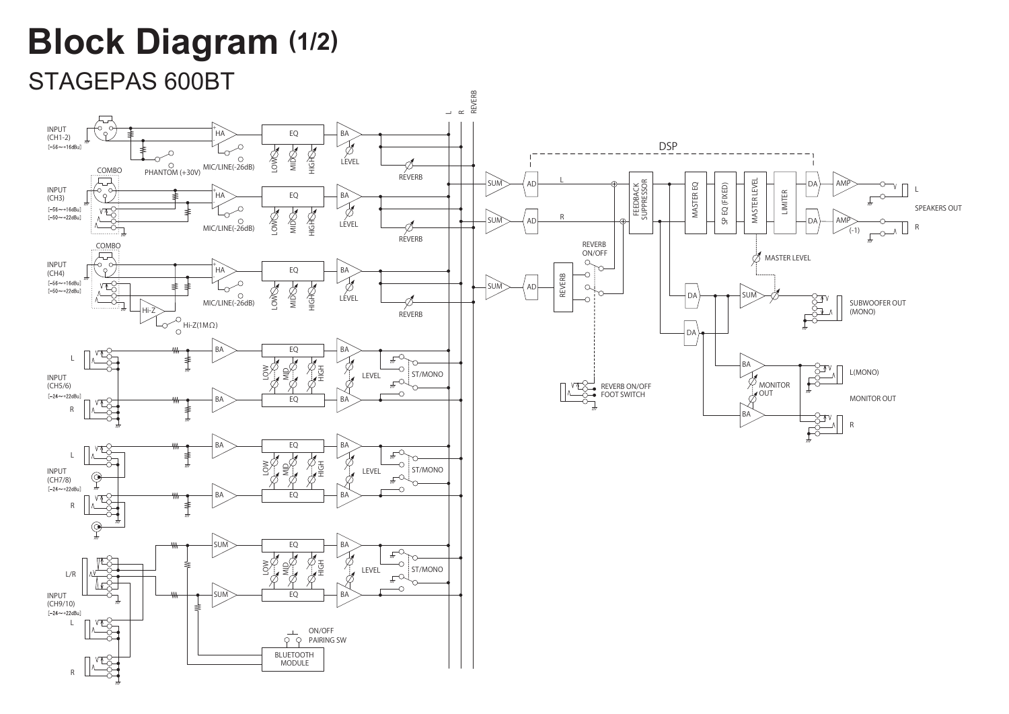## **Block Diagram (1/2)**

## STAGEPAS 600BT